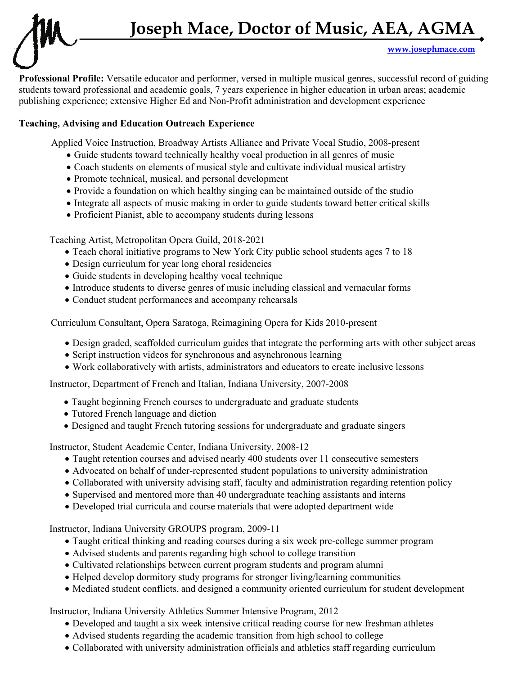**www.josephmace.com** 

**Professional Profile:** Versatile educator and performer, versed in multiple musical genres, successful record of guiding students toward professional and academic goals, 7 years experience in higher education in urban areas; academic publishing experience; extensive Higher Ed and Non-Profit administration and development experience

# **Teaching, Advising and Education Outreach Experience**

Applied Voice Instruction, Broadway Artists Alliance and Private Vocal Studio, 2008-present

- Guide students toward technically healthy vocal production in all genres of music
- Coach students on elements of musical style and cultivate individual musical artistry
- Promote technical, musical, and personal development
- Provide a foundation on which healthy singing can be maintained outside of the studio
- Integrate all aspects of music making in order to guide students toward better critical skills
- Proficient Pianist, able to accompany students during lessons

Teaching Artist, Metropolitan Opera Guild, 2018-2021

- Teach choral initiative programs to New York City public school students ages 7 to 18
- Design curriculum for year long choral residencies
- Guide students in developing healthy vocal technique
- Introduce students to diverse genres of music including classical and vernacular forms
- Conduct student performances and accompany rehearsals

Curriculum Consultant, Opera Saratoga, Reimagining Opera for Kids 2010-present

- Design graded, scaffolded curriculum guides that integrate the performing arts with other subject areas
- Script instruction videos for synchronous and asynchronous learning
- Work collaboratively with artists, administrators and educators to create inclusive lessons

Instructor, Department of French and Italian, Indiana University, 2007-2008

- Taught beginning French courses to undergraduate and graduate students
- Tutored French language and diction
- Designed and taught French tutoring sessions for undergraduate and graduate singers

Instructor, Student Academic Center, Indiana University, 2008-12

- Taught retention courses and advised nearly 400 students over 11 consecutive semesters
- Advocated on behalf of under-represented student populations to university administration
- Collaborated with university advising staff, faculty and administration regarding retention policy
- Supervised and mentored more than 40 undergraduate teaching assistants and interns
- Developed trial curricula and course materials that were adopted department wide

Instructor, Indiana University GROUPS program, 2009-11

- Taught critical thinking and reading courses during a six week pre-college summer program
- Advised students and parents regarding high school to college transition
- Cultivated relationships between current program students and program alumni
- Helped develop dormitory study programs for stronger living/learning communities
- Mediated student conflicts, and designed a community oriented curriculum for student development

Instructor, Indiana University Athletics Summer Intensive Program, 2012

- Developed and taught a six week intensive critical reading course for new freshman athletes
- Advised students regarding the academic transition from high school to college
- Collaborated with university administration officials and athletics staff regarding curriculum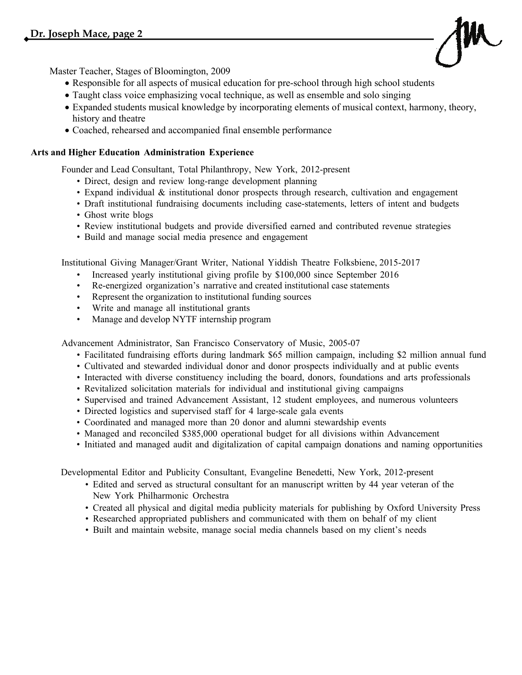

Master Teacher, Stages of Bloomington, 2009

- Responsible for all aspects of musical education for pre-school through high school students
- Taught class voice emphasizing vocal technique, as well as ensemble and solo singing
- Expanded students musical knowledge by incorporating elements of musical context, harmony, theory, history and theatre
- Coached, rehearsed and accompanied final ensemble performance

## **Arts and Higher Education Administration Experience**

Founder and Lead Consultant, Total Philanthropy, New York, 2012-present

- Direct, design and review long-range development planning
- Expand individual & institutional donor prospects through research, cultivation and engagement
- Draft institutional fundraising documents including case-statements, letters of intent and budgets
- Ghost write blogs
- Review institutional budgets and provide diversified earned and contributed revenue strategies
- Build and manage social media presence and engagement

Institutional Giving Manager/Grant Writer, National Yiddish Theatre Folksbiene, 2015-2017

- Increased yearly institutional giving profile by \$100,000 since September 2016
- Re-energized organization's narrative and created institutional case statements
- Represent the organization to institutional funding sources
- Write and manage all institutional grants
- Manage and develop NYTF internship program

Advancement Administrator, San Francisco Conservatory of Music, 2005-07

- Facilitated fundraising efforts during landmark \$65 million campaign, including \$2 million annual fund
- Cultivated and stewarded individual donor and donor prospects individually and at public events
- Interacted with diverse constituency including the board, donors, foundations and arts professionals
- Revitalized solicitation materials for individual and institutional giving campaigns
- Supervised and trained Advancement Assistant, 12 student employees, and numerous volunteers
- Directed logistics and supervised staff for 4 large-scale gala events
- Coordinated and managed more than 20 donor and alumni stewardship events
- Managed and reconciled \$385,000 operational budget for all divisions within Advancement
- Initiated and managed audit and digitalization of capital campaign donations and naming opportunities

Developmental Editor and Publicity Consultant, Evangeline Benedetti, New York, 2012-present

- Edited and served as structural consultant for an manuscript written by 44 year veteran of the New York Philharmonic Orchestra
- Created all physical and digital media publicity materials for publishing by Oxford University Press
- Researched appropriated publishers and communicated with them on behalf of my client
- Built and maintain website, manage social media channels based on my client's needs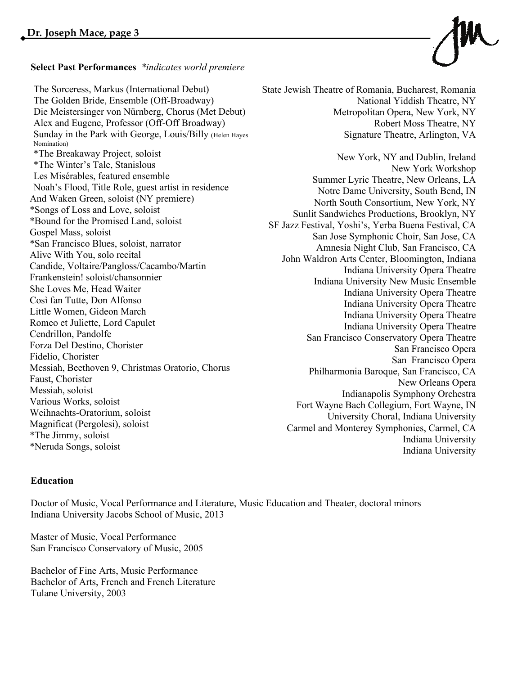## **Select Past Performances** *\*indicates world premiere*

Alex and Eugene, Professor (Off-Off Broadway)  $\mathbb{R}^n$ New York Philharmonic Orchestra, published by Oxford Press in 2017 es miseraoles, leatured ensemble<br>Noah's Flood, Title Role, guest artist in residence \*Bound for the Promised Land, soloist SE Jazz Formulation and Events Experience of the Promised Land, soloist • Re-energized organization's narrative and created institutional case statements Candide, Voltaire/Pangloss/Cacambo/Martin Frankenstein! soloist/chansonnier<br>
Ind She Loves Me, Head Waiter Così fan Tutte, Don Alfonso Romeo et Juliette, Lord Capulet Forza Del Destino, Chorister iviessian, soloist<br>Various Works, soloist Weihnachts-Oratorium, soloist University Chamber Music Festival, and The Chamber Music Festival, Summer 2012 The Sorceress, Markus (International Debut) The Golden Bride, Ensemble (Off-Broadway) Die Meistersinger von Nürnberg, Chorus (Met Debut) Sunday in the Park with George, Louis/Billy (Helen Hayes Nomination) \*The Breakaway Project, soloist \*The Winter's Tale, Stanislous Les Misérables, featured ensemble And Waken Green, soloist (NY premiere) \*Songs of Loss and Love, soloist Gospel Mass, soloist \*San Francisco Blues, soloist, narrator Alive With You, solo recital Little Women, Gideon March Cendrillon, Pandolfe Fidelio, Chorister Messiah, Beethoven 9, Christmas Oratorio, Chorus Faust, Chorister Messiah, soloist Magnificat (Pergolesi), soloist \*The Jimmy, soloist \*Neruda Songs, soloist

State Jewish Theatre of Romania, Bucharest, Romania National Yiddish Theatre, NY Metropolitan Opera, New York, NY Robert Moss Theatre, NY Signature Theatre, Arlington, VA

ed away Project, soloist and served as structural consultant for *New York*, NY and Dublin, Ireland od, Title Role, guest artist in residence<br>
Notre Dame University, South Bend, IN ancisco Blues, soloist, narrator<br>
Mamnesia Night Club, San Francisco, CA u, solo recital<br>John Waldron Arts Center, Bloomington, Indiana Pandolfe<br>
San Francisco Conservatory Opera Theatre exter<br>
San Francisco Opera ethoven 9, Christmas Oratorio, Chorus<br>Philharmonia Baroque, San Francisco, CA ester<br>1. Designed and authored in statements including documents including documents of the Second Second Second incl New York Workshop Summer Lyric Theatre, New Orleans, LA North South Consortium, New York, NY Sunlit Sandwiches Productions, Brooklyn, NY SF Jazz Festival, Yoshi's, Yerba Buena Festival, CA San Jose Symphonic Choir, San Jose, CA Indiana University Opera Theatre Indiana University New Music Ensemble Indiana University Opera Theatre Indiana University Opera Theatre Indiana University Opera Theatre Indiana University Opera Theatre San Francisco Opera Indianapolis Symphony Orchestra Fort Wayne Bach Collegium, Fort Wayne, IN University Choral, Indiana University Carmel and Monterey Symphonies, Carmel, CA Indiana University Indiana University

## **Education**

Doctor of Music, Vocal Performance and Literature, Music Education and Theater, doctoral minors Indiana University Jacobs School of Music, 2013

Master of Music, Vocal Performance San Francisco Conservatory of Music, 2005

Bachelor of Fine Arts, Music Performance Bachelor of Arts, French and French Literature Tulane University, 2003